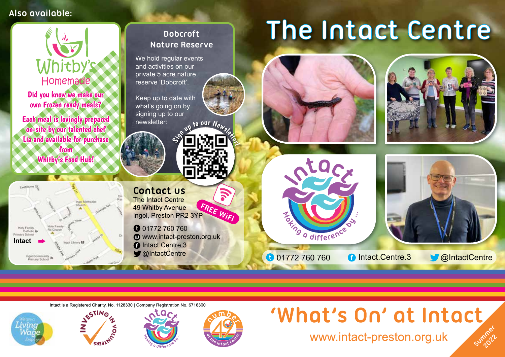## **Also available:**



Intact is a Registered Charity, No. 1128330 | Company Registration No. 6716300







## 'What's On' at Intact Summer

www.intact-preston.org.uk

**2022**